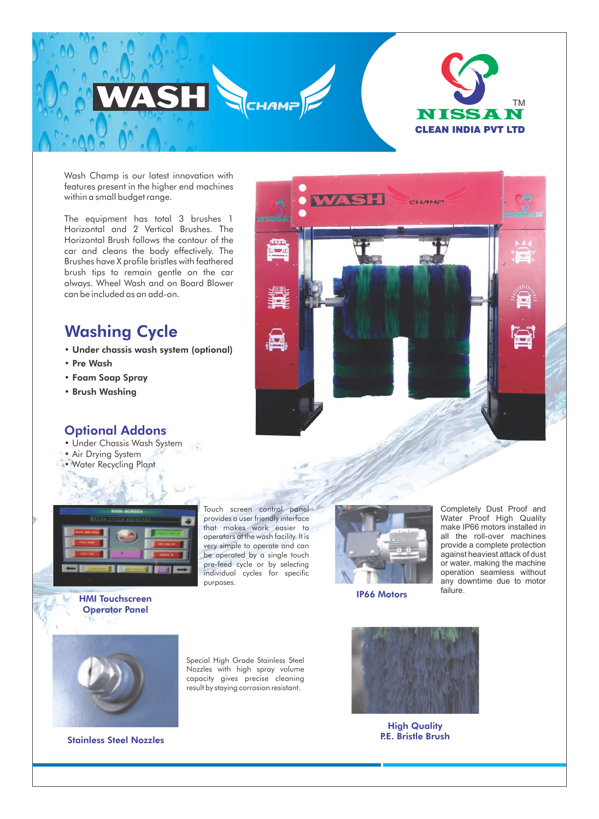

Wash Champ is our latest innovation with features present in the higher end machines within a small budget range.

The equipment has total 3 brushes 1 Horizontal and 2 Vertical Brushes. The Horizontal Brush follows the contour of the car and cleans the body effectively. The Brushes have X profile bristles with feathered brush tips to remain gentle on the car always. Wheel Wash and on Board Blower can be included as an add-on.

# Washing Cycle

- Under chassis wash system (optional)
- Pre Wash
- Foam Soap Spray
- Brush Washing

## Optional Addons

- Under Chassis Wash System 53
- Air Drying System
- Water Recycling Plant





Touch screen control panel provides a user friendly interface that makes work easier to operators at the wash facility. It is very simple to operate and can be operated by a single touch pre-feed cycle or by selecting individual cycles for specific purposes.



IP66 Motors

Completely Dust Proof and Water Proof High Quality make IP66 motors installed in all the roll-over machines provide a complete protection against heaviest attack of dust or water, making the machine operation seamless without any downtime due to motor failure.



HMI Touchscreen Operator Panel

Stainless Steel Nozzles

Special High Grade Stainless Steel Nozzles with high spray volume capacity gives precise cleaning result by staying corrosion resistant.



**High Quality** P.E. Bristle Brush